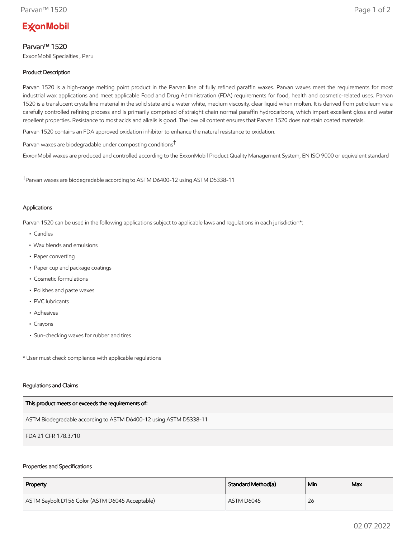# **ExconMobil**

# Parvan™ 1520

ExxonMobil Specialties , Peru

# Product Description

Parvan 1520 is a high-range melting point product in the Parvan line of fully refined paraffin waxes. Parvan waxes meet the requirements for most industrial wax applications and meet applicable Food and Drug Administration (FDA) requirements for food, health and cosmetic-related uses. Parvan 1520 is a translucent crystalline material in the solid state and a water white, medium viscosity, clear liquid when molten. It is derived from petroleum via a carefully controlled refining process and is primarily comprised of straight chain normal paraffin hydrocarbons, which impart excellent gloss and water repellent properties. Resistance to most acids and alkalis is good. The low oil content ensures that Parvan 1520 does not stain coated materials.

Parvan 1520 contains an FDA approved oxidation inhibitor to enhance the natural resistance to oxidation.

Parvan waxes are biodegradable under composting conditions†

ExxonMobil waxes are produced and controlled according to the ExxonMobil Product Quality Management System, EN ISO 9000 or equivalent standard

†Parvan waxes are biodegradable according to ASTM D6400-12 using ASTM D5338-11

# Applications

Parvan 1520 can be used in the following applications subject to applicable laws and regulations in each jurisdiction\*:

- Candles
- Wax blends and emulsions
- Paper converting
- Paper cup and package coatings
- Cosmetic formulations
- Polishes and paste waxes
- PVC lubricants
- Adhesives
- Crayons
- Sun-checking waxes for rubber and tires

\* User must check compliance with applicable regulations

#### Regulations and Claims

| This product meets or exceeds the requirements of:                |
|-------------------------------------------------------------------|
| ASTM Biodegradable according to ASTM D6400-12 using ASTM D5338-11 |
| FDA 21 CFR 178.3710                                               |

#### Properties and Specifications

| Property                                        | Standard Method(a) | Min | Max |
|-------------------------------------------------|--------------------|-----|-----|
| ASTM Saybolt D156 Color (ASTM D6045 Acceptable) | ASTM D6045         | 26  |     |